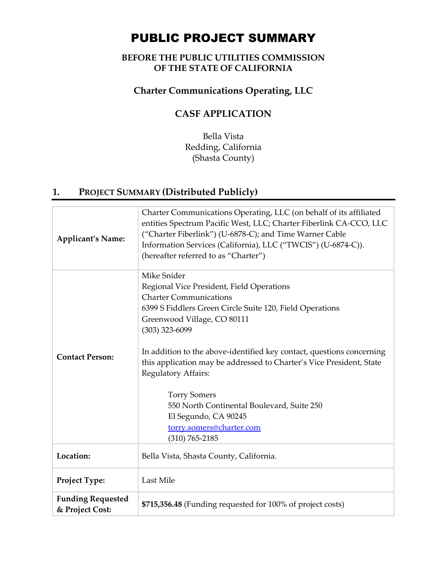# PUBLIC PROJECT SUMMARY

## **BEFORE THE PUBLIC UTILITIES COMMISSION OF THE STATE OF CALIFORNIA**

## **Charter Communications Operating, LLC**

# **CASF APPLICATION**

Bella Vista Redding, California (Shasta County)

# **1. PROJECT SUMMARY (Distributed Publicly)**

| <b>Applicant's Name:</b>                    | Charter Communications Operating, LLC (on behalf of its affiliated<br>entities Spectrum Pacific West, LLC; Charter Fiberlink CA-CCO, LLC<br>("Charter Fiberlink") (U-6878-C); and Time Warner Cable<br>Information Services (California), LLC ("TWCIS") (U-6874-C)).<br>(hereafter referred to as "Charter")                                                                                                                                                                                                                    |  |
|---------------------------------------------|---------------------------------------------------------------------------------------------------------------------------------------------------------------------------------------------------------------------------------------------------------------------------------------------------------------------------------------------------------------------------------------------------------------------------------------------------------------------------------------------------------------------------------|--|
| <b>Contact Person:</b>                      | Mike Snider<br>Regional Vice President, Field Operations<br><b>Charter Communications</b><br>6399 S Fiddlers Green Circle Suite 120, Field Operations<br>Greenwood Village, CO 80111<br>$(303)$ 323-6099<br>In addition to the above-identified key contact, questions concerning<br>this application may be addressed to Charter's Vice President, State<br>Regulatory Affairs:<br><b>Torry Somers</b><br>550 North Continental Boulevard, Suite 250<br>El Segundo, CA 90245<br>torry.somers@charter.com<br>$(310) 765 - 2185$ |  |
| Location:                                   | Bella Vista, Shasta County, California.                                                                                                                                                                                                                                                                                                                                                                                                                                                                                         |  |
| Project Type:                               | Last Mile                                                                                                                                                                                                                                                                                                                                                                                                                                                                                                                       |  |
| <b>Funding Requested</b><br>& Project Cost: | \$715,356.48 (Funding requested for 100% of project costs)                                                                                                                                                                                                                                                                                                                                                                                                                                                                      |  |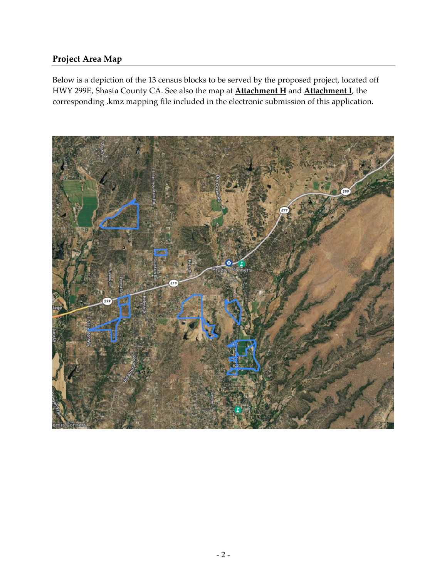## **Project Area Map**

Below is a depiction of the 13 census blocks to be served by the proposed project, located off HWY 299E, Shasta County CA. See also the map at **Attachment H** and **Attachment I**, the corresponding .kmz mapping file included in the electronic submission of this application.

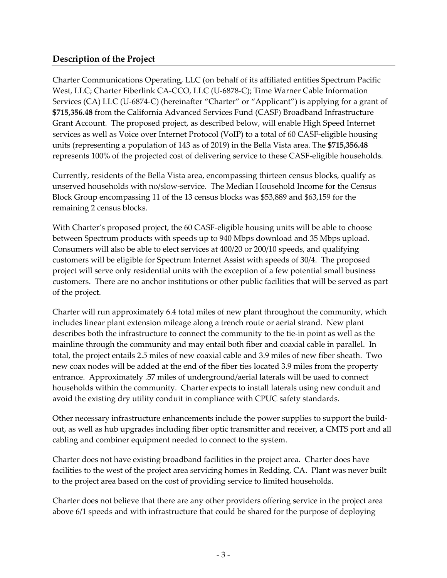### **Description of the Project**

Charter Communications Operating, LLC (on behalf of its affiliated entities Spectrum Pacific West, LLC; Charter Fiberlink CA‐CCO, LLC (U‐6878‐C); Time Warner Cable Information Services (CA) LLC (U-6874-C) (hereinafter "Charter" or "Applicant") is applying for a grant of **\$715,356.48** from the California Advanced Services Fund (CASF) Broadband Infrastructure Grant Account. The proposed project, as described below, will enable High Speed Internet services as well as Voice over Internet Protocol (VoIP) to a total of 60 CASF-eligible housing units (representing a population of 143 as of 2019) in the Bella Vista area. The **\$715,356.48** represents 100% of the projected cost of delivering service to these CASF‐eligible households.

Currently, residents of the Bella Vista area, encompassing thirteen census blocks, qualify as unserved households with no/slow‐service. The Median Household Income for the Census Block Group encompassing 11 of the 13 census blocks was \$53,889 and \$63,159 for the remaining 2 census blocks.

With Charter's proposed project, the 60 CASF-eligible housing units will be able to choose between Spectrum products with speeds up to 940 Mbps download and 35 Mbps upload. Consumers will also be able to elect services at 400/20 or 200/10 speeds, and qualifying customers will be eligible for Spectrum Internet Assist with speeds of 30/4. The proposed project will serve only residential units with the exception of a few potential small business customers. There are no anchor institutions or other public facilities that will be served as part of the project.

Charter will run approximately 6.4 total miles of new plant throughout the community, which includes linear plant extension mileage along a trench route or aerial strand. New plant describes both the infrastructure to connect the community to the tie‐in point as well as the mainline through the community and may entail both fiber and coaxial cable in parallel. In total, the project entails 2.5 miles of new coaxial cable and 3.9 miles of new fiber sheath. Two new coax nodes will be added at the end of the fiber ties located 3.9 miles from the property entrance. Approximately .57 miles of underground/aerial laterals will be used to connect households within the community. Charter expects to install laterals using new conduit and avoid the existing dry utility conduit in compliance with CPUC safety standards.

Other necessary infrastructure enhancements include the power supplies to support the build‐ out, as well as hub upgrades including fiber optic transmitter and receiver, a CMTS port and all cabling and combiner equipment needed to connect to the system.

Charter does not have existing broadband facilities in the project area. Charter does have facilities to the west of the project area servicing homes in Redding, CA. Plant was never built to the project area based on the cost of providing service to limited households.

Charter does not believe that there are any other providers offering service in the project area above 6/1 speeds and with infrastructure that could be shared for the purpose of deploying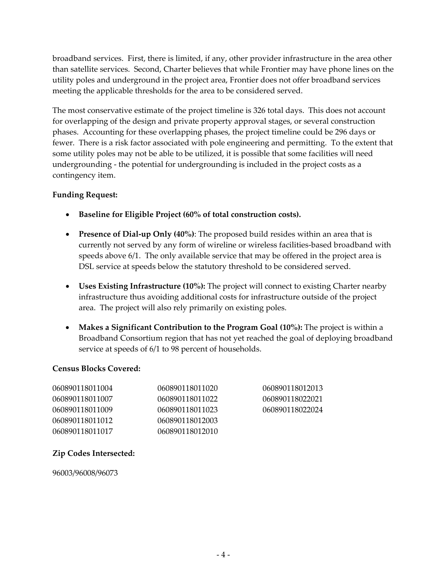broadband services. First, there is limited, if any, other provider infrastructure in the area other than satellite services. Second, Charter believes that while Frontier may have phone lines on the utility poles and underground in the project area, Frontier does not offer broadband services meeting the applicable thresholds for the area to be considered served.

The most conservative estimate of the project timeline is 326 total days. This does not account for overlapping of the design and private property approval stages, or several construction phases. Accounting for these overlapping phases, the project timeline could be 296 days or fewer. There is a risk factor associated with pole engineering and permitting. To the extent that some utility poles may not be able to be utilized, it is possible that some facilities will need undergrounding ‐ the potential for undergrounding is included in the project costs as a contingency item.

### **Funding Request:**

- **Baseline for Eligible Project (60% of total construction costs).**
- **Presence of Dial‐up Only (40%)**: The proposed build resides within an area that is currently not served by any form of wireline or wireless facilities-based broadband with speeds above 6/1. The only available service that may be offered in the project area is DSL service at speeds below the statutory threshold to be considered served.
- **Uses Existing Infrastructure (10%):** The project will connect to existing Charter nearby infrastructure thus avoiding additional costs for infrastructure outside of the project area. The project will also rely primarily on existing poles.
- **Makes a Significant Contribution to the Program Goal (10%):** The project is within a Broadband Consortium region that has not yet reached the goal of deploying broadband service at speeds of 6/1 to 98 percent of households.

#### **Census Blocks Covered:**

| 060890118011004 | 060890118011020 | 060890118012013 |
|-----------------|-----------------|-----------------|
| 060890118011007 | 060890118011022 | 060890118022021 |
| 060890118011009 | 060890118011023 | 060890118022024 |
| 060890118011012 | 060890118012003 |                 |
| 060890118011017 | 060890118012010 |                 |

### **Zip Codes Intersected:**

96003/96008/96073